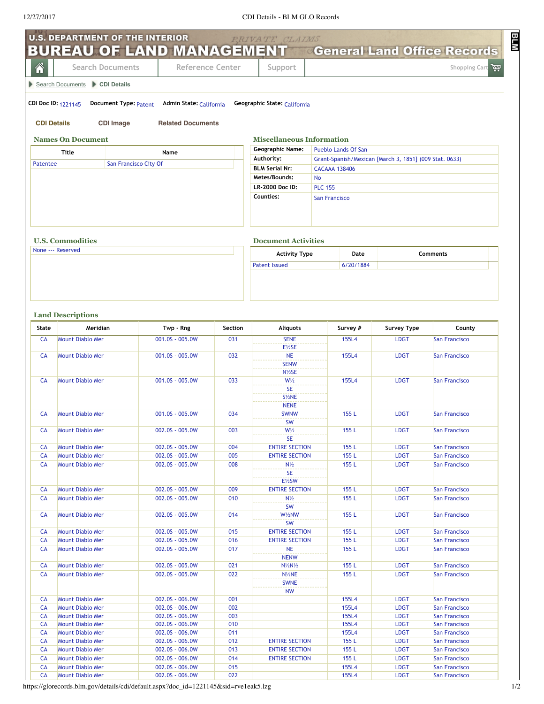|                 | <b>U.S. DEPARTMENT OF THE INTERIOR</b>             |                                    |            | PRIVATE CLAIMS                         |                                                        |                            |                                       |
|-----------------|----------------------------------------------------|------------------------------------|------------|----------------------------------------|--------------------------------------------------------|----------------------------|---------------------------------------|
|                 | BUREAU OF LAND MANAGEMENT                          |                                    |            |                                        | <b>General Land Office Records</b>                     |                            |                                       |
| 솎               | <b>Search Documents</b>                            | Reference Center                   |            | Support                                |                                                        |                            | Shopping Cart                         |
|                 | Search Documents CDI Details                       |                                    |            |                                        |                                                        |                            |                                       |
|                 | CDI Doc ID: 1221145<br>Document Type: Patent       | Admin State: California            |            | Geographic State: California           |                                                        |                            |                                       |
|                 | <b>CDI Details</b><br><b>CDI Image</b>             | <b>Related Documents</b>           |            |                                        |                                                        |                            |                                       |
|                 | <b>Names On Document</b>                           |                                    |            | <b>Miscellaneous Information</b>       |                                                        |                            |                                       |
|                 | <b>Title</b>                                       | Name                               |            | <b>Geographic Name:</b>                | <b>Pueblo Lands Of San</b>                             |                            |                                       |
| Patentee        | San Francisco City Of                              |                                    |            | Authority:                             | Grant-Spanish/Mexican [March 3, 1851] (009 Stat. 0633) |                            |                                       |
|                 |                                                    |                                    |            | <b>BLM Serial Nr:</b><br>Metes/Bounds: | <b>CACAAA 138406</b><br><b>No</b>                      |                            |                                       |
|                 |                                                    |                                    |            | LR-2000 Doc ID:                        | <b>PLC 155</b>                                         |                            |                                       |
|                 |                                                    |                                    |            | Counties:                              | San Francisco                                          |                            |                                       |
|                 |                                                    |                                    |            |                                        |                                                        |                            |                                       |
|                 | <b>U.S. Commodities</b>                            |                                    |            | <b>Document Activities</b>             |                                                        |                            |                                       |
|                 | None --- Reserved                                  |                                    |            | <b>Activity Type</b>                   | Date                                                   | Comments                   |                                       |
|                 |                                                    |                                    |            | <b>Patent Issued</b>                   | 6/20/1884                                              |                            |                                       |
| <b>State</b>    | <b>Land Descriptions</b><br>Meridian               | Twp - Rng                          | Section    | <b>Aliquots</b>                        | Survey #                                               | <b>Survey Type</b>         | County                                |
| <b>CA</b>       | <b>Mount Diablo Mer</b>                            | 001.0S - 005.0W                    | 031        | <b>SENE</b>                            | 155L4                                                  | <b>LDGT</b>                | <b>San Francisco</b>                  |
|                 |                                                    |                                    |            | E1/2SE                                 |                                                        |                            |                                       |
| <b>CA</b>       | <b>Mount Diablo Mer</b>                            | 001.0S - 005.0W                    | 032        | <b>NE</b><br><b>SENW</b><br>N1/2SE     | 155L4                                                  | <b>LDGT</b>                | <b>San Francisco</b>                  |
| <b>CA</b>       | <b>Mount Diablo Mer</b>                            | 001.0S - 005.0W                    | 033        | $W\frac{1}{2}$                         | 155L4                                                  | <b>LDGT</b>                | <b>San Francisco</b>                  |
|                 |                                                    |                                    |            | <b>SE</b>                              |                                                        |                            |                                       |
|                 |                                                    |                                    |            | S1/ <sub>2</sub> NE<br><b>NENE</b>     |                                                        |                            |                                       |
| CA              | <b>Mount Diablo Mer</b>                            | 001.0S - 005.0W                    | 034        | <b>SWNW</b>                            | 155 L                                                  | <b>LDGT</b>                | <b>San Francisco</b>                  |
|                 |                                                    |                                    |            | <b>SW</b>                              |                                                        |                            |                                       |
| <b>CA</b>       | <b>Mount Diablo Mer</b>                            | 002.0S - 005.0W                    | 003        | $W\frac{1}{2}$<br><b>SE</b>            | 155L                                                   | <b>LDGT</b>                | <b>San Francisco</b>                  |
| CA              | <b>Mount Diablo Mer</b>                            | 002.0S - 005.0W                    | 004        | <b>ENTIRE SECTION</b>                  | 155L                                                   | <b>LDGT</b>                | San Francisco                         |
| <b>CA</b>       | <b>Mount Diablo Mer</b>                            | 002.0S - 005.0W                    | 005        | <b>ENTIRE SECTION</b>                  | 155L                                                   | <b>LDGT</b>                | San Francisco                         |
| <b>CA</b>       | <b>Mount Diablo Mer</b>                            | 002.0S - 005.0W                    | 008        | $N\frac{1}{2}$<br><b>SE</b>            | 155L                                                   | <b>LDGT</b>                | <b>San Francisco</b>                  |
|                 |                                                    |                                    |            | $E\frac{1}{2}SW$                       |                                                        |                            |                                       |
| CA              | <b>Mount Diablo Mer</b>                            | 002.0S - 005.0W                    | 009        | <b>ENTIRE SECTION</b>                  | 155L                                                   | <b>LDGT</b>                | San Francisco                         |
| CA              | <b>Mount Diablo Mer</b>                            | 002.0S - 005.0W                    | 010        | $N\frac{1}{2}$                         | 155L                                                   | <b>LDGT</b>                | San Francisco                         |
| <b>CA</b>       | <b>Mount Diablo Mer</b>                            | 002.0S - 005.0W                    | 014        | <b>SW</b><br>W1/2NW                    | 155L                                                   | <b>LDGT</b>                | San Francisco                         |
|                 |                                                    |                                    |            | <b>SW</b>                              |                                                        |                            |                                       |
| CA              | <b>Mount Diablo Mer</b>                            | 002.0S - 005.0W                    | 015        | <b>ENTIRE SECTION</b>                  | 155L                                                   | <b>LDGT</b>                | <b>San Francisco</b>                  |
| CA              | <b>Mount Diablo Mer</b>                            | 002.0S - 005.0W                    | 016        | <b>ENTIRE SECTION</b>                  | 155L                                                   | <b>LDGT</b>                | <b>San Francisco</b>                  |
| CA              | <b>Mount Diablo Mer</b>                            | 002.0S - 005.0W                    | 017        | <b>NE</b><br><b>NENW</b>               | 155L                                                   | <b>LDGT</b>                | San Francisco                         |
| CA              | <b>Mount Diablo Mer</b>                            | 002.0S - 005.0W                    | 021        | $N\frac{1}{2}N\frac{1}{2}$             | 155L                                                   | <b>LDGT</b>                | <b>San Francisco</b>                  |
| <b>CA</b>       | <b>Mount Diablo Mer</b>                            | 002.0S - 005.0W                    | 022        | N1/2NE<br><b>SWNE</b>                  | 155L                                                   | <b>LDGT</b>                | San Francisco                         |
|                 |                                                    |                                    |            | <b>NW</b>                              |                                                        |                            |                                       |
| CA              | <b>Mount Diablo Mer</b>                            | 002.0S - 006.0W                    | 001        |                                        | 155L4                                                  | <b>LDGT</b>                | San Francisco                         |
| CA<br>CA        | <b>Mount Diablo Mer</b><br><b>Mount Diablo Mer</b> | 002.0S - 006.0W<br>002.0S - 006.0W | 002<br>003 |                                        | 155L4<br>155L4                                         | <b>LDGT</b><br><b>LDGT</b> | San Francisco<br>San Francisco        |
| <b>CA</b>       | <b>Mount Diablo Mer</b>                            | 002.0S - 006.0W                    | 010        |                                        | 155L4                                                  | <b>LDGT</b>                | <b>San Francisco</b>                  |
| CA              | <b>Mount Diablo Mer</b>                            | 002.0S - 006.0W                    | 011        |                                        | 155L4                                                  | <b>LDGT</b>                | San Francisco                         |
| CA              | <b>Mount Diablo Mer</b>                            | 002.0S - 006.0W                    | 012        | <b>ENTIRE SECTION</b>                  | 155 L                                                  | <b>LDGT</b>                | San Francisco                         |
| CA              | <b>Mount Diablo Mer</b>                            | 002.0S - 006.0W                    | 013        | <b>ENTIRE SECTION</b>                  | 155L                                                   | <b>LDGT</b>                | San Francisco                         |
| CA              | <b>Mount Diablo Mer</b>                            | 002.0S - 006.0W                    | 014        | <b>ENTIRE SECTION</b>                  | 155L                                                   | <b>LDGT</b>                | San Francisco                         |
| CA<br><b>CA</b> | <b>Mount Diablo Mer</b><br><b>Mount Diablo Mer</b> | 002.0S - 006.0W<br>002.0S - 006.0W | 015<br>022 |                                        | 155L4<br>155L4                                         | <b>LDGT</b><br><b>LDGT</b> | <b>San Francisco</b><br>San Francisco |
|                 |                                                    |                                    |            |                                        |                                                        |                            |                                       |

https://glorecords.blm.gov/details/cdi/default.aspx?doc\_id=1221145&sid=rve1eak5.lzg 1/2

**MTE**